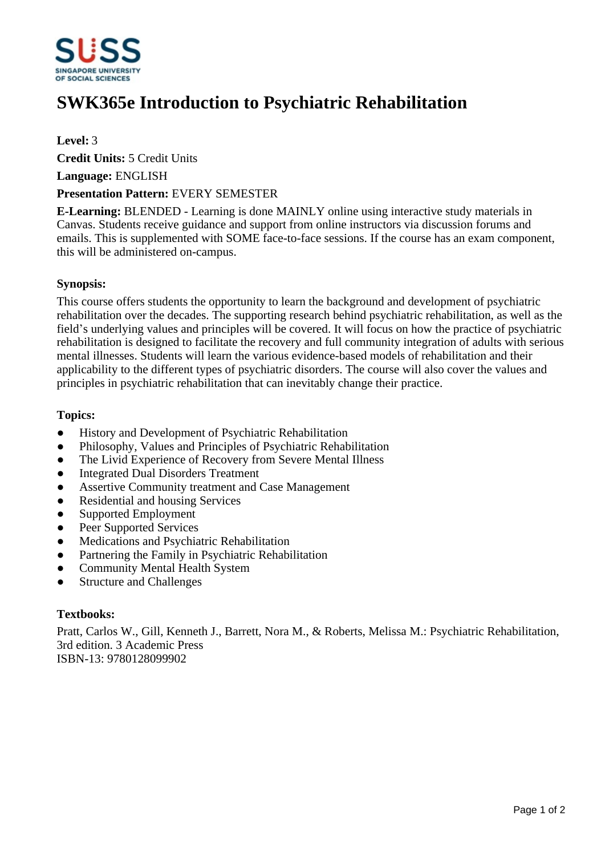

# **SWK365e Introduction to Psychiatric Rehabilitation**

# **Level:** 3

**Credit Units:** 5 Credit Units

**Language:** ENGLISH

### **Presentation Pattern:** EVERY SEMESTER

**E-Learning:** BLENDED - Learning is done MAINLY online using interactive study materials in Canvas. Students receive guidance and support from online instructors via discussion forums and emails. This is supplemented with SOME face-to-face sessions. If the course has an exam component, this will be administered on-campus.

### **Synopsis:**

This course offers students the opportunity to learn the background and development of psychiatric rehabilitation over the decades. The supporting research behind psychiatric rehabilitation, as well as the field's underlying values and principles will be covered. It will focus on how the practice of psychiatric rehabilitation is designed to facilitate the recovery and full community integration of adults with serious mental illnesses. Students will learn the various evidence-based models of rehabilitation and their applicability to the different types of psychiatric disorders. The course will also cover the values and principles in psychiatric rehabilitation that can inevitably change their practice.

### **Topics:**

- History and Development of Psychiatric Rehabilitation
- ƔPhilosophy, Values and Principles of Psychiatric Rehabilitation
- The Livid Experience of Recovery from Severe Mental Illness
- Integrated Dual Disorders Treatment
- Assertive Community treatment and Case Management
- Residential and housing Services
- Supported Employment
- Peer Supported Services
- Medications and Psychiatric Rehabilitation
- Partnering the Family in Psychiatric Rehabilitation
- Community Mental Health System
- Structure and Challenges

# **Textbooks:**

Pratt, Carlos W., Gill, Kenneth J., Barrett, Nora M., & Roberts, Melissa M.: Psychiatric Rehabilitation, 3rd edition. 3 Academic Press ISBN-13: 9780128099902